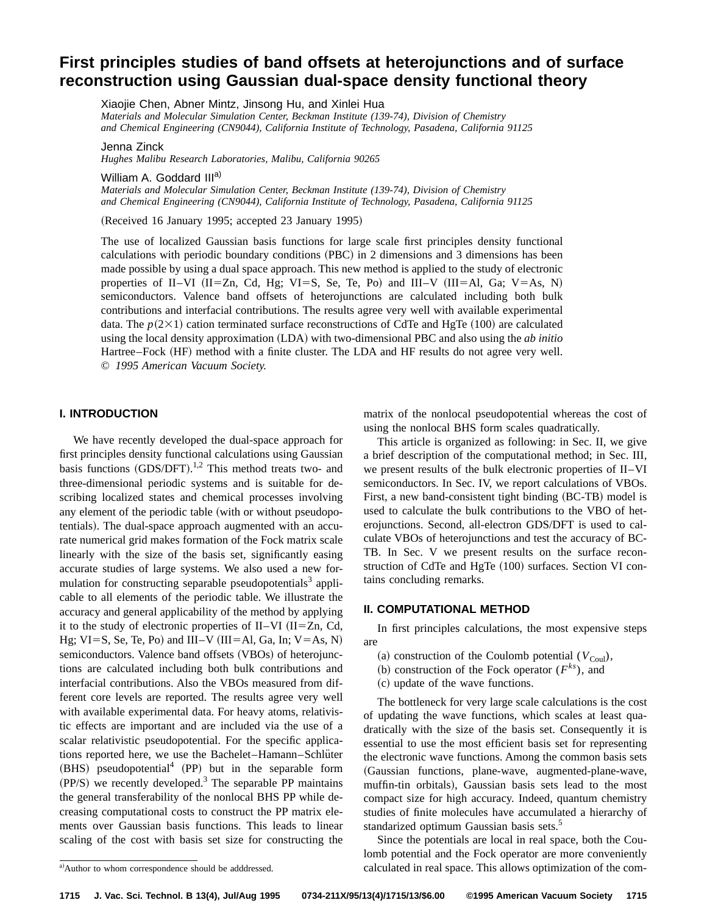# **First principles studies of band offsets at heterojunctions and of surface reconstruction using Gaussian dual-space density functional theory**

Xiaojie Chen, Abner Mintz, Jinsong Hu, and Xinlei Hua *Materials and Molecular Simulation Center, Beckman Institute (139-74), Division of Chemistry and Chemical Engineering (CN9044), California Institute of Technology, Pasadena, California 91125*

Jenna Zinck

*Hughes Malibu Research Laboratories, Malibu, California 90265*

William A. Goddard III<sup>a)</sup>

*Materials and Molecular Simulation Center, Beckman Institute (139-74), Division of Chemistry and Chemical Engineering (CN9044), California Institute of Technology, Pasadena, California 91125*

(Received 16 January 1995; accepted 23 January 1995)

The use of localized Gaussian basis functions for large scale first principles density functional calculations with periodic boundary conditions (PBC) in 2 dimensions and 3 dimensions has been made possible by using a dual space approach. This new method is applied to the study of electronic properties of II–VI (II=Zn, Cd, Hg; VI=S, Se, Te, Po) and III–V (III=Al, Ga; V=As, N) semiconductors. Valence band offsets of heterojunctions are calculated including both bulk contributions and interfacial contributions. The results agree very well with available experimental data. The  $p(2\times1)$  cation terminated surface reconstructions of CdTe and HgTe (100) are calculated using the local density approximation (LDA) with two-dimensional PBC and also using the *ab initio* Hartree–Fock (HF) method with a finite cluster. The LDA and HF results do not agree very well. © *1995 American Vacuum Society.*

#### **I. INTRODUCTION**

We have recently developed the dual-space approach for first principles density functional calculations using Gaussian basis functions  $(GDS/DFT)$ .<sup>1,2</sup> This method treats two- and three-dimensional periodic systems and is suitable for describing localized states and chemical processes involving any element of the periodic table (with or without pseudopotentials). The dual-space approach augmented with an accurate numerical grid makes formation of the Fock matrix scale linearly with the size of the basis set, significantly easing accurate studies of large systems. We also used a new formulation for constructing separable pseudopotentials<sup>3</sup> applicable to all elements of the periodic table. We illustrate the accuracy and general applicability of the method by applying it to the study of electronic properties of II–VI (II=Zn, Cd, Hg; VI=S, Se, Te, Po) and III–V (III=Al, Ga, In; V=As, N) semiconductors. Valence band offsets (VBOs) of heterojunctions are calculated including both bulk contributions and interfacial contributions. Also the VBOs measured from different core levels are reported. The results agree very well with available experimental data. For heavy atoms, relativistic effects are important and are included via the use of a scalar relativistic pseudopotential. For the specific applications reported here, we use the Bachelet–Hamann–Schlüter  $(BHS)$  pseudopotential<sup>4</sup> (PP) but in the separable form  $(PP/S)$  we recently developed.<sup>3</sup> The separable PP maintains the general transferability of the nonlocal BHS PP while decreasing computational costs to construct the PP matrix elements over Gaussian basis functions. This leads to linear scaling of the cost with basis set size for constructing the

matrix of the nonlocal pseudopotential whereas the cost of using the nonlocal BHS form scales quadratically.

This article is organized as following: in Sec. II, we give a brief description of the computational method; in Sec. III, we present results of the bulk electronic properties of II–VI semiconductors. In Sec. IV, we report calculations of VBOs. First, a new band-consistent tight binding (BC-TB) model is used to calculate the bulk contributions to the VBO of heterojunctions. Second, all-electron GDS/DFT is used to calculate VBOs of heterojunctions and test the accuracy of BC-TB. In Sec. V we present results on the surface reconstruction of CdTe and HgTe  $(100)$  surfaces. Section VI contains concluding remarks.

# **II. COMPUTATIONAL METHOD**

In first principles calculations, the most expensive steps are

- (a) construction of the Coulomb potential  $(V_{\text{Coul}})$ ,
- (b) construction of the Fock operator  $(F^{ks})$ , and
- (c) update of the wave functions.

The bottleneck for very large scale calculations is the cost of updating the wave functions, which scales at least quadratically with the size of the basis set. Consequently it is essential to use the most efficient basis set for representing the electronic wave functions. Among the common basis sets ~Gaussian functions, plane-wave, augmented-plane-wave, muffin-tin orbitals), Gaussian basis sets lead to the most compact size for high accuracy. Indeed, quantum chemistry studies of finite molecules have accumulated a hierarchy of standarized optimum Gaussian basis sets.<sup>5</sup>

Since the potentials are local in real space, both the Coulomb potential and the Fock operator are more conveniently calculated in real space. This allows optimization of the com-

a)Author to whom correspondence should be adddressed.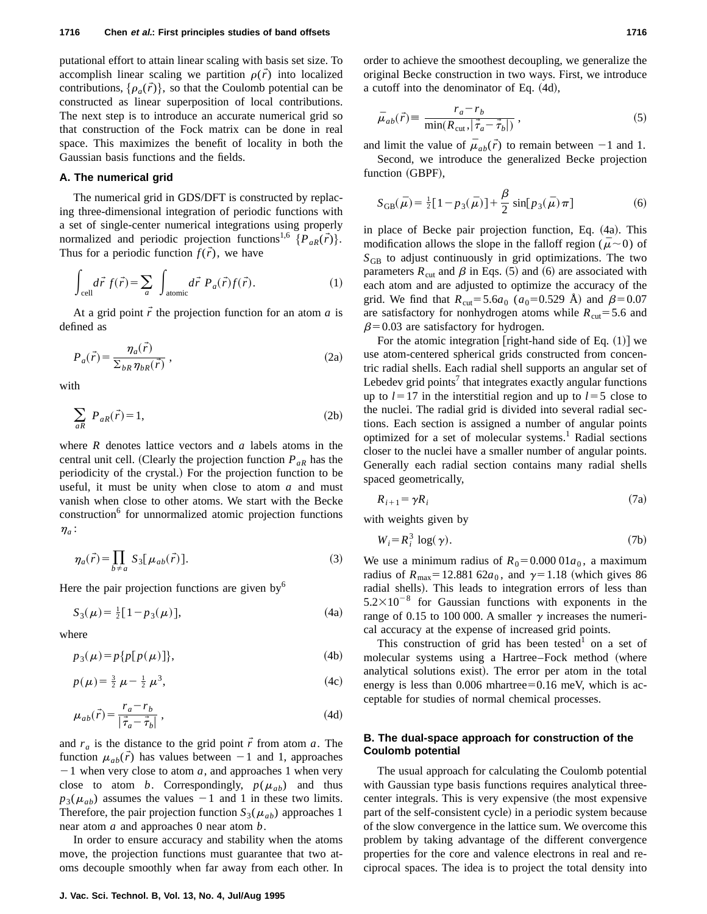putational effort to attain linear scaling with basis set size. To accomplish linear scaling we partition  $\rho(\vec{r})$  into localized contributions,  $\{\rho_a(\vec{r})\}$ , so that the Coulomb potential can be constructed as linear superposition of local contributions. The next step is to introduce an accurate numerical grid so that construction of the Fock matrix can be done in real space. This maximizes the benefit of locality in both the Gaussian basis functions and the fields.

#### **A. The numerical grid**

The numerical grid in GDS/DFT is constructed by replacing three-dimensional integration of periodic functions with a set of single-center numerical integrations using properly normalized and periodic projection functions<sup>1,6</sup>  $\{P_{aR}(\vec{r})\}.$ Thus for a periodic function  $f(\vec{r})$ , we have

$$
\int_{\text{cell}} d\vec{r} f(\vec{r}) = \sum_{a} \int_{\text{atomic}} d\vec{r} P_a(\vec{r}) f(\vec{r}). \tag{1}
$$

At a grid point  $\vec{r}$  the projection function for an atom  $\vec{a}$  is defined as

$$
P_a(\vec{r}) = \frac{\eta_a(\vec{r})}{\sum_{bR} \eta_{bR}(\vec{r})},
$$
\n(2a)

with

$$
\sum_{aR} P_{aR}(\vec{r}) = 1,\tag{2b}
$$

where *R* denotes lattice vectors and *a* labels atoms in the central unit cell. (Clearly the projection function  $P_{aR}$  has the periodicity of the crystal.) For the projection function to be useful, it must be unity when close to atom *a* and must vanish when close to other atoms. We start with the Becke construction<sup>6</sup> for unnormalized atomic projection functions  $\eta_a$ :

$$
\eta_a(\vec{r}) = \prod_{b \neq a} S_3[\mu_{ab}(\vec{r})]. \tag{3}
$$

Here the pair projection functions are given by $<sup>6</sup>$ </sup>

$$
S_3(\mu) = \frac{1}{2} [1 - p_3(\mu)], \qquad (4a)
$$

where

$$
p_3(\mu) = p\{p[p(\mu)]\},\tag{4b}
$$

$$
p(\mu) = \frac{3}{2} \mu - \frac{1}{2} \mu^3,
$$
 (4c)

$$
\mu_{ab}(\vec{r}) = \frac{r_a - r_b}{|\vec{\tau}_a - \vec{\tau}_b|},\tag{4d}
$$

and  $r_a$  is the distance to the grid point  $\vec{r}$  from atom *a*. The function  $\mu_{ab}(\vec{r})$  has values between  $-1$  and 1, approaches  $-1$  when very close to atom *a*, and approaches 1 when very close to atom *b*. Correspondingly,  $p(\mu_{ab})$  and thus  $p_3(\mu_{ab})$  assumes the values  $-1$  and 1 in these two limits. Therefore, the pair projection function  $S_3(\mu_{ab})$  approaches 1 near atom *a* and approaches 0 near atom *b*.

In order to ensure accuracy and stability when the atoms move, the projection functions must guarantee that two atoms decouple smoothly when far away from each other. In order to achieve the smoothest decoupling, we generalize the original Becke construction in two ways. First, we introduce a cutoff into the denominator of Eq.  $(4d)$ ,

$$
\bar{\mu}_{ab}(\vec{r}) \equiv \frac{r_a - r_b}{\min(R_{\text{cut}}, |\vec{\tau}_a - \vec{\tau}_b|)},
$$
\n(5)

and limit the value of  $\bar{\mu}_{ab}(\vec{r})$  to remain between  $-1$  and 1.

Second, we introduce the generalized Becke projection function (GBPF),

$$
S_{GB}(\bar{\mu}) = \frac{1}{2} [1 - p_3(\bar{\mu})] + \frac{\beta}{2} \sin[p_3(\bar{\mu}) \pi]
$$
 (6)

in place of Becke pair projection function, Eq.  $(4a)$ . This modification allows the slope in the falloff region ( $\bar{\mu}$  ~0) of  $S<sub>GB</sub>$  to adjust continuously in grid optimizations. The two parameters  $R_{\text{cut}}$  and  $\beta$  in Eqs. (5) and (6) are associated with each atom and are adjusted to optimize the accuracy of the grid. We find that  $R_{\text{cut}} = 5.6a_0$  ( $a_0 = 0.529$  Å) and  $\beta = 0.07$ are satisfactory for nonhydrogen atoms while  $R_{\text{cut}}$ =5.6 and  $\beta$ =0.03 are satisfactory for hydrogen.

For the atomic integration [right-hand side of Eq.  $(1)$ ] we use atom-centered spherical grids constructed from concentric radial shells. Each radial shell supports an angular set of Lebedev grid points<sup>7</sup> that integrates exactly angular functions up to  $l=17$  in the interstitial region and up to  $l=5$  close to the nuclei. The radial grid is divided into several radial sections. Each section is assigned a number of angular points optimized for a set of molecular systems.<sup>1</sup> Radial sections closer to the nuclei have a smaller number of angular points. Generally each radial section contains many radial shells spaced geometrically,

$$
R_{i+1} = \gamma R_i \tag{7a}
$$

with weights given by

$$
W_i = R_i^3 \log(\gamma). \tag{7b}
$$

We use a minimum radius of  $R_0 = 0.00001a_0$ , a maximum radius of  $R_{\text{max}} = 12.881 \, 62a_0$ , and  $\gamma = 1.18$  (which gives 86 radial shells). This leads to integration errors of less than  $5.2\times10^{-8}$  for Gaussian functions with exponents in the range of 0.15 to 100 000. A smaller  $\gamma$  increases the numerical accuracy at the expense of increased grid points.

This construction of grid has been tested<sup>1</sup> on a set of molecular systems using a Hartree–Fock method (where analytical solutions exist). The error per atom in the total energy is less than  $0.006$  mhartree= $0.16$  meV, which is acceptable for studies of normal chemical processes.

# **B. The dual-space approach for construction of the Coulomb potential**

The usual approach for calculating the Coulomb potential with Gaussian type basis functions requires analytical threecenter integrals. This is very expensive (the most expensive part of the self-consistent cycle) in a periodic system because of the slow convergence in the lattice sum. We overcome this problem by taking advantage of the different convergence properties for the core and valence electrons in real and reciprocal spaces. The idea is to project the total density into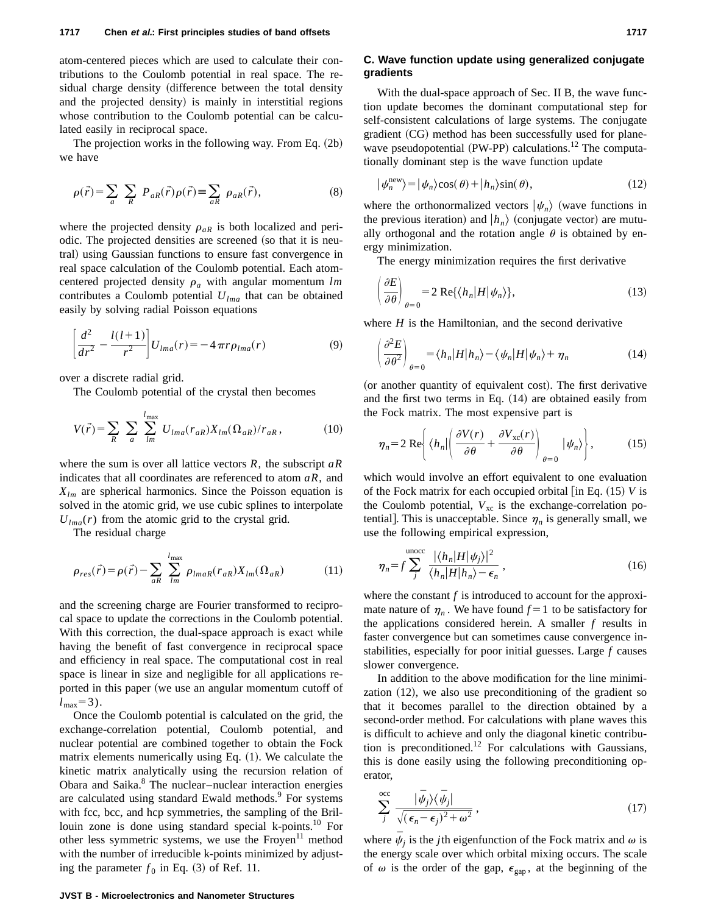atom-centered pieces which are used to calculate their contributions to the Coulomb potential in real space. The residual charge density (difference between the total density and the projected density) is mainly in interstitial regions whose contribution to the Coulomb potential can be calculated easily in reciprocal space.

The projection works in the following way. From Eq.  $(2b)$ we have

$$
\rho(\vec{r}) = \sum_{a} \sum_{R} P_{aR}(\vec{r}) \rho(\vec{r}) \equiv \sum_{aR} \rho_{aR}(\vec{r}), \qquad (8)
$$

where the projected density  $\rho_{aR}$  is both localized and periodic. The projected densities are screened (so that it is neutral) using Gaussian functions to ensure fast convergence in real space calculation of the Coulomb potential. Each atomcentered projected density  $\rho_a$  with angular momentum *lm* contributes a Coulomb potential  $U_{lm}$  that can be obtained easily by solving radial Poisson equations

$$
\left[\frac{d^2}{dr^2} - \frac{l(l+1)}{r^2}\right]U_{lma}(r) = -4\pi r\rho_{lma}(r)
$$
\n(9)

over a discrete radial grid.

The Coulomb potential of the crystal then becomes

$$
V(\vec{r}) = \sum_{R} \sum_{a} \sum_{lm}^{l_{\text{max}}} U_{lma}(r_{aR}) X_{lm}(\Omega_{aR})/r_{aR}, \qquad (10)
$$

where the sum is over all lattice vectors *R*, the subscript *aR* indicates that all coordinates are referenced to atom *aR*, and *Xlm* are spherical harmonics. Since the Poisson equation is solved in the atomic grid, we use cubic splines to interpolate  $U_{lm}$ <sup>(r)</sup> from the atomic grid to the crystal grid.

The residual charge

$$
\rho_{res}(\vec{r}) = \rho(\vec{r}) - \sum_{aR} \sum_{lm}^{l_{\text{max}}} \rho_{lmaR}(r_{aR}) X_{lm}(\Omega_{aR}) \tag{11}
$$

and the screening charge are Fourier transformed to reciprocal space to update the corrections in the Coulomb potential. With this correction, the dual-space approach is exact while having the benefit of fast convergence in reciprocal space and efficiency in real space. The computational cost in real space is linear in size and negligible for all applications reported in this paper (we use an angular momentum cutoff of  $l_{\text{max}}=3$ ).

Once the Coulomb potential is calculated on the grid, the exchange-correlation potential, Coulomb potential, and nuclear potential are combined together to obtain the Fock matrix elements numerically using Eq.  $(1)$ . We calculate the kinetic matrix analytically using the recursion relation of Obara and Saika.<sup>8</sup> The nuclear–nuclear interaction energies are calculated using standard Ewald methods.<sup>9</sup> For systems with fcc, bcc, and hcp symmetries, the sampling of the Brillouin zone is done using standard special k-points.<sup>10</sup> For other less symmetric systems, we use the Froyen<sup>11</sup> method with the number of irreducible k-points minimized by adjusting the parameter  $f_0$  in Eq. (3) of Ref. 11.

#### **C. Wave function update using generalized conjugate gradients**

With the dual-space approach of Sec. II B, the wave function update becomes the dominant computational step for self-consistent calculations of large systems. The conjugate gradient (CG) method has been successfully used for planewave pseudopotential (PW-PP) calculations.<sup>12</sup> The computationally dominant step is the wave function update

$$
|\psi_n^{\text{new}}\rangle = |\psi_n\rangle \cos(\theta) + |h_n\rangle \sin(\theta),\tag{12}
$$

where the orthonormalized vectors  $|\psi_n\rangle$  (wave functions in the previous iteration) and  $\vert h_n \rangle$  (conjugate vector) are mutually orthogonal and the rotation angle  $\theta$  is obtained by energy minimization.

The energy minimization requires the first derivative

$$
\left(\frac{\partial E}{\partial \theta}\right)_{\theta=0} = 2 \text{ Re}\{\langle h_n|H|\psi_n\rangle\},\tag{13}
$$

where  $H$  is the Hamiltonian, and the second derivative

$$
\left(\frac{\partial^2 E}{\partial \theta^2}\right)_{\theta=0} = \langle h_n | H | h_n \rangle - \langle \psi_n | H | \psi_n \rangle + \eta_n \tag{14}
$$

(or another quantity of equivalent cost). The first derivative and the first two terms in Eq.  $(14)$  are obtained easily from the Fock matrix. The most expensive part is

$$
\eta_n = 2 \operatorname{Re} \left\{ \left\langle h_n \middle| \left( \frac{\partial V(r)}{\partial \theta} + \frac{\partial V_{\text{xc}}(r)}{\partial \theta} \right)_{\theta=0} \middle| \psi_n \right\rangle \right\},\tag{15}
$$

which would involve an effort equivalent to one evaluation of the Fock matrix for each occupied orbital  $\left[$  in Eq.  $(15)$  *V* is the Coulomb potential,  $V_{\text{xc}}$  is the exchange-correlation potential]. This is unacceptable. Since  $\eta_n$  is generally small, we use the following empirical expression,

$$
\eta_n = f \sum_{j}^{\text{unocc}} \frac{|\langle h_n | H | \psi_j \rangle|^2}{\langle h_n | H | h_n \rangle - \epsilon_n}, \qquad (16)
$$

where the constant *f* is introduced to account for the approximate nature of  $\eta_n$ . We have found  $f = 1$  to be satisfactory for the applications considered herein. A smaller *f* results in faster convergence but can sometimes cause convergence instabilities, especially for poor initial guesses. Large *f* causes slower convergence.

In addition to the above modification for the line minimization  $(12)$ , we also use preconditioning of the gradient so that it becomes parallel to the direction obtained by a second-order method. For calculations with plane waves this is difficult to achieve and only the diagonal kinetic contribution is preconditioned.<sup>12</sup> For calculations with Gaussians, this is done easily using the following preconditioning operator,

$$
\sum_{j}^{\text{occ}} \frac{|\bar{\psi}_{j}\rangle\langle\bar{\psi}_{j}|}{\sqrt{(\epsilon_{n}-\epsilon_{j})^{2}+\omega^{2}}},\tag{17}
$$

where  $\psi_i$  is the *j*th eigenfunction of the Fock matrix and  $\omega$  is the energy scale over which orbital mixing occurs. The scale of  $\omega$  is the order of the gap,  $\epsilon_{\rm gap}$ , at the beginning of the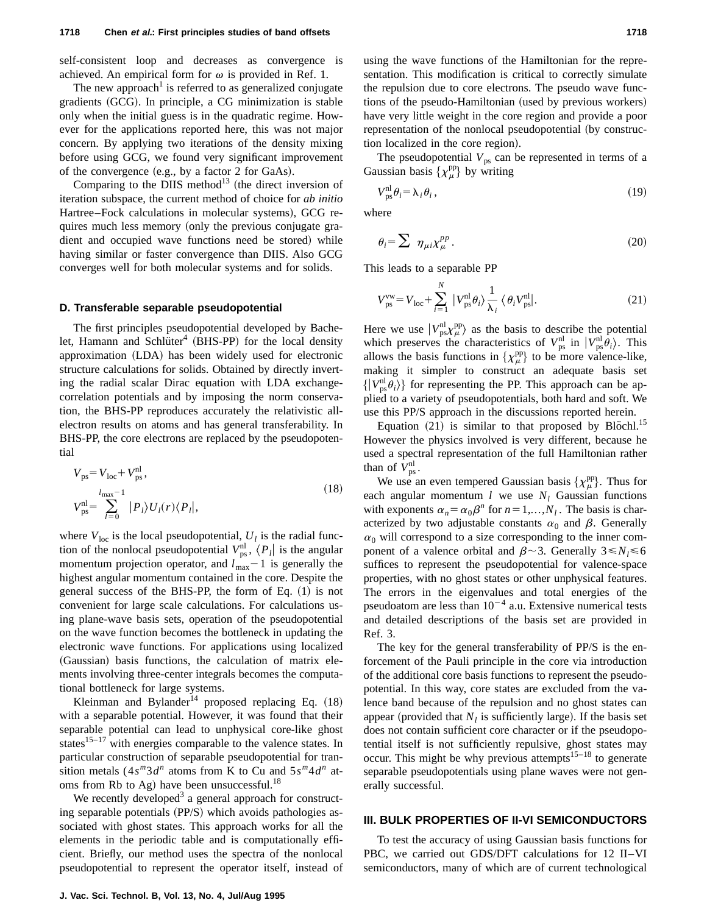self-consistent loop and decreases as convergence is achieved. An empirical form for  $\omega$  is provided in Ref. 1.

The new approach<sup>1</sup> is referred to as generalized conjugate gradients (GCG). In principle, a CG minimization is stable only when the initial guess is in the quadratic regime. However for the applications reported here, this was not major concern. By applying two iterations of the density mixing before using GCG, we found very significant improvement of the convergence  $(e.g., by a factor 2 for GaAs).$ 

Comparing to the DIIS method<sup>13</sup> (the direct inversion of iteration subspace, the current method of choice for *ab initio* Hartree–Fock calculations in molecular systems), GCG requires much less memory (only the previous conjugate gradient and occupied wave functions need be stored) while having similar or faster convergence than DIIS. Also GCG converges well for both molecular systems and for solids.

#### **D. Transferable separable pseudopotential**

The first principles pseudopotential developed by Bachelet, Hamann and Schlüter<sup>4</sup> (BHS-PP) for the local density approximation (LDA) has been widely used for electronic structure calculations for solids. Obtained by directly inverting the radial scalar Dirac equation with LDA exchangecorrelation potentials and by imposing the norm conservation, the BHS-PP reproduces accurately the relativistic allelectron results on atoms and has general transferability. In BHS-PP, the core electrons are replaced by the pseudopotential

$$
V_{\text{ps}} = V_{\text{loc}} + V_{\text{ps}}^{\text{nl}},
$$
  
\n
$$
V_{\text{ps}}^{\text{nl}} = \sum_{l=0}^{l_{\text{max}}-1} |P_l\rangle U_l(r) \langle P_l|,
$$
\n(18)

where  $V_{\text{loc}}$  is the local pseudopotential,  $U_l$  is the radial function of the nonlocal pseudopotential  $V_{\text{ps}}^{\text{nl}}$ ,  $\langle P_l |$  is the angular momentum projection operator, and  $l_{\text{max}}-1$  is generally the highest angular momentum contained in the core. Despite the general success of the BHS-PP, the form of Eq.  $(1)$  is not convenient for large scale calculations. For calculations using plane-wave basis sets, operation of the pseudopotential on the wave function becomes the bottleneck in updating the electronic wave functions. For applications using localized (Gaussian) basis functions, the calculation of matrix elements involving three-center integrals becomes the computational bottleneck for large systems.

Kleinman and Bylander<sup>14</sup> proposed replacing Eq.  $(18)$ with a separable potential. However, it was found that their separable potential can lead to unphysical core-like ghost states $15-17$  with energies comparable to the valence states. In particular construction of separable pseudopotential for transition metals  $(4s^m3d^n)$  atoms from K to Cu and  $5s^m4d^n$  atoms from Rb to Ag) have been unsuccessful.<sup>18</sup>

We recently developed<sup>3</sup> a general approach for constructing separable potentials  $(PP/S)$  which avoids pathologies associated with ghost states. This approach works for all the elements in the periodic table and is computationally efficient. Briefly, our method uses the spectra of the nonlocal pseudopotential to represent the operator itself, instead of using the wave functions of the Hamiltonian for the representation. This modification is critical to correctly simulate the repulsion due to core electrons. The pseudo wave functions of the pseudo-Hamiltonian (used by previous workers) have very little weight in the core region and provide a poor representation of the nonlocal pseudopotential (by construction localized in the core region).

The pseudopotential  $V_{\text{ps}}$  can be represented in terms of a Gaussian basis  $\{\chi_{\mu}^{\text{pp}}\}$  by writing

$$
V_{\text{ps}}^{\text{nl}} \theta_i = \lambda_i \theta_i, \qquad (19)
$$

where

$$
\theta_i = \sum \ \eta_{\mu i} \chi_{\mu}^{pp} \,. \tag{20}
$$

This leads to a separable PP

$$
V_{\text{ps}}^{\text{vw}} = V_{\text{loc}} + \sum_{i=1}^{N} |V_{\text{ps}}^{\text{nl}} \theta_i\rangle \frac{1}{\lambda_i} \langle \theta_i V_{\text{ps}}^{\text{nl}}|.
$$
 (21)

Here we use  $|V_{\rm ps}^{\rm nl} \chi_{\mu}^{\rm pp} \rangle$  as the basis to describe the potential which preserves the characteristics of  $V_{\text{ps}}^{\text{nl}}$  in  $|V_{\text{ps}}^{\text{nl}}\hat{\theta}_i\rangle$ . This allows the basis functions in  $\{\chi^{\text{pp}}_{\mu}\}\$  to be more valence-like, making it simpler to construct an adequate basis set  $\{ |V_{ps}^{nl}\theta_i \rangle \}$  for representing the PP. This approach can be applied to a variety of pseudopotentials, both hard and soft. We use this PP/S approach in the discussions reported herein.

Equation  $(21)$  is similar to that proposed by Blöchl.<sup>15</sup> However the physics involved is very different, because he used a spectral representation of the full Hamiltonian rather than of  $V_{\text{ps}}^{\text{nl}}$ .

We use an even tempered Gaussian basis  $\{\chi^{\text{pp}}_{\mu}\}\$ . Thus for each angular momentum  $l$  we use  $N_l$  Gaussian functions with exponents  $\alpha_n = \alpha_0 \beta^n$  for  $n = 1,...,N_l$ . The basis is characterized by two adjustable constants  $\alpha_0$  and  $\beta$ . Generally  $\alpha_0$  will correspond to a size corresponding to the inner component of a valence orbital and  $\beta$  ~3. Generally  $3 \le N_l \le 6$ suffices to represent the pseudopotential for valence-space properties, with no ghost states or other unphysical features. The errors in the eigenvalues and total energies of the pseudoatom are less than  $10^{-4}$  a.u. Extensive numerical tests and detailed descriptions of the basis set are provided in Ref. 3.

The key for the general transferability of PP/S is the enforcement of the Pauli principle in the core via introduction of the additional core basis functions to represent the pseudopotential. In this way, core states are excluded from the valence band because of the repulsion and no ghost states can appear (provided that  $N_l$  is sufficiently large). If the basis set does not contain sufficient core character or if the pseudopotential itself is not sufficiently repulsive, ghost states may occur. This might be why previous attempts<sup>15–18</sup> to generate separable pseudopotentials using plane waves were not generally successful.

# **III. BULK PROPERTIES OF II-VI SEMICONDUCTORS**

To test the accuracy of using Gaussian basis functions for PBC, we carried out GDS/DFT calculations for 12 II–VI semiconductors, many of which are of current technological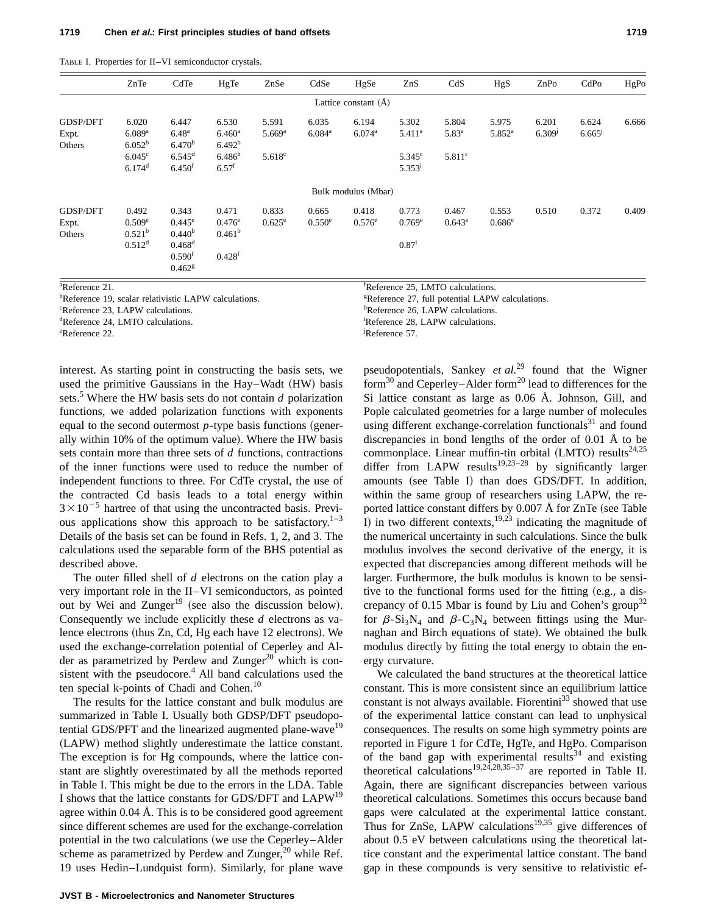|  |  |  | TABLE I. Properties for II-VI semiconductor crystals. |  |
|--|--|--|-------------------------------------------------------|--|
|--|--|--|-------------------------------------------------------|--|

|                 | ZnTe                 | CdTe                 | HgTe               | ZnSe                 | CdSe                 | HgSe                           | ZnS                | CdS             | HgS                | ZnPo        | CdPo  | HgPo  |
|-----------------|----------------------|----------------------|--------------------|----------------------|----------------------|--------------------------------|--------------------|-----------------|--------------------|-------------|-------|-------|
|                 |                      |                      |                    |                      |                      | Lattice constant $(\tilde{A})$ |                    |                 |                    |             |       |       |
| <b>GDSP/DFT</b> | 6.020                | 6.447                | 6.530              | 5.591                | 6.035                | 6.194                          | 5.302              | 5.804           | 5.975              | 6.201       | 6.624 | 6.666 |
| Expt.           | $6.089$ <sup>a</sup> | $6.48^{a}$           | 6.460 <sup>a</sup> | $5.669$ <sup>a</sup> | $6.084$ <sup>a</sup> | $6.074$ <sup>a</sup>           | $5.411^a$          | $5.83^{a}$      | 5.852 <sup>a</sup> | $6.309^{j}$ | 6.665 |       |
| Others          | $6.052^{b}$          | 6.470 <sup>b</sup>   | 6.492 <sup>b</sup> |                      |                      |                                |                    |                 |                    |             |       |       |
|                 | $6.045^{\circ}$      | $6.545^{\rm d}$      | $6.486^h$          | $5.618^c$            |                      |                                | $5.345^{\circ}$    | $5.811^{\circ}$ |                    |             |       |       |
|                 | $6.174$ <sup>d</sup> | 6.450 <sup>t</sup>   | $6.57^{f}$         |                      |                      |                                | 5.353 <sup>i</sup> |                 |                    |             |       |       |
|                 |                      |                      |                    |                      |                      | Bulk modulus (Mbar)            |                    |                 |                    |             |       |       |
| <b>GDSP/DFT</b> | 0.492                | 0.343                | 0.471              | 0.833                | 0.665                | 0.418                          | 0.773              | 0.467           | 0.553              | 0.510       | 0.372 | 0.409 |
| Expt.           | $0.509^e$            | $0.445^{\rm e}$      | $0.476^{\rm e}$    | $0.625^{\rm e}$      | $0.550^{\circ}$      | $0.576^e$                      | $0.769^e$          | $0.643^e$       | $0.686^{\rm e}$    |             |       |       |
| Others          | $0.521^{b}$          | 0.440 <sup>b</sup>   | 0.461 <sup>b</sup> |                      |                      |                                |                    |                 |                    |             |       |       |
|                 | 0.512 <sup>d</sup>   | $0.468$ <sup>d</sup> |                    |                      |                      |                                | $0.87^{i}$         |                 |                    |             |       |       |
|                 |                      | 0.590 <sup>f</sup>   | $0.428^{f}$        |                      |                      |                                |                    |                 |                    |             |       |       |
|                 |                      | 0.462 <sup>g</sup>   |                    |                      |                      |                                |                    |                 |                    |             |       |       |

<sup>a</sup>Reference 21.

<sup>b</sup>Reference 19, scalar relativistic LAPW calculations.

<sup>c</sup>Reference 23, LAPW calculations.

deference 24, LMTO calculations.

enterence 22.

interest. As starting point in constructing the basis sets, we used the primitive Gaussians in the Hay–Wadt (HW) basis sets.<sup>5</sup> Where the HW basis sets do not contain *d* polarization functions, we added polarization functions with exponents equal to the second outermost  $p$ -type basis functions (generally within 10% of the optimum value). Where the HW basis sets contain more than three sets of *d* functions, contractions of the inner functions were used to reduce the number of independent functions to three. For CdTe crystal, the use of the contracted Cd basis leads to a total energy within  $3 \times 10^{-5}$  hartree of that using the uncontracted basis. Previous applications show this approach to be satisfactory.<sup>1–3</sup> Details of the basis set can be found in Refs. 1, 2, and 3. The calculations used the separable form of the BHS potential as described above.

The outer filled shell of *d* electrons on the cation play a very important role in the II–VI semiconductors, as pointed out by Wei and Zunger<sup>19</sup> (see also the discussion below). Consequently we include explicitly these *d* electrons as valence electrons (thus  $Zn$ , Cd, Hg each have 12 electrons). We used the exchange-correlation potential of Ceperley and Alder as parametrized by Perdew and Zunger<sup>20</sup> which is consistent with the pseudocore. $4$  All band calculations used the ten special k-points of Chadi and Cohen.<sup>10</sup>

The results for the lattice constant and bulk modulus are summarized in Table I. Usually both GDSP/DFT pseudopotential GDS/PFT and the linearized augmented plane-wave<sup>19</sup> (LAPW) method slightly underestimate the lattice constant. The exception is for Hg compounds, where the lattice constant are slightly overestimated by all the methods reported in Table I. This might be due to the errors in the LDA. Table I shows that the lattice constants for GDS/DFT and LAPW19 agree within 0.04 Å. This is to be considered good agreement since different schemes are used for the exchange-correlation potential in the two calculations (we use the Ceperley–Alder scheme as parametrized by Perdew and Zunger, $^{20}$  while Ref. 19 uses Hedin–Lundquist form). Similarly, for plane wave Reference 25, LMTO calculations.

Reference 27, full potential LAPW calculations.

hReference 26, LAPW calculations.

Reference 28, LAPW calculations.

Reference 57.

pseudopotentials, Sankey *et al.*<sup>29</sup> found that the Wigner form<sup>30</sup> and Ceperley–Alder form<sup>20</sup> lead to differences for the Si lattice constant as large as 0.06 Å. Johnson, Gill, and Pople calculated geometries for a large number of molecules using different exchange-correlation functionals<sup>31</sup> and found discrepancies in bond lengths of the order of 0.01 Å to be commonplace. Linear muffin-tin orbital (LMTO) results<sup>24,25</sup> differ from LAPW results<sup>19,23–28</sup> by significantly larger amounts (see Table I) than does GDS/DFT. In addition, within the same group of researchers using LAPW, the reported lattice constant differs by  $0.007 \text{ Å}$  for  $\text{ZnTe}$  (see Table I) in two different contexts,<sup>19,23</sup> indicating the magnitude of the numerical uncertainty in such calculations. Since the bulk modulus involves the second derivative of the energy, it is expected that discrepancies among different methods will be larger. Furthermore, the bulk modulus is known to be sensitive to the functional forms used for the fitting  $(e.g., a$  discrepancy of 0.15 Mbar is found by Liu and Cohen's group<sup>32</sup> for  $\beta$ -Si<sub>3</sub>N<sub>4</sub> and  $\beta$ -C<sub>3</sub>N<sub>4</sub> between fittings using the Murnaghan and Birch equations of state). We obtained the bulk modulus directly by fitting the total energy to obtain the energy curvature.

We calculated the band structures at the theoretical lattice constant. This is more consistent since an equilibrium lattice constant is not always available. Fiorentini<sup>33</sup> showed that use of the experimental lattice constant can lead to unphysical consequences. The results on some high symmetry points are reported in Figure 1 for CdTe, HgTe, and HgPo. Comparison of the band gap with experimental results<sup>34</sup> and existing theoretical calculations<sup>19,24,28,35–37</sup> are reported in Table II. Again, there are significant discrepancies between various theoretical calculations. Sometimes this occurs because band gaps were calculated at the experimental lattice constant. Thus for ZnSe, LAPW calculations<sup>19,35</sup> give differences of about 0.5 eV between calculations using the theoretical lattice constant and the experimental lattice constant. The band gap in these compounds is very sensitive to relativistic ef-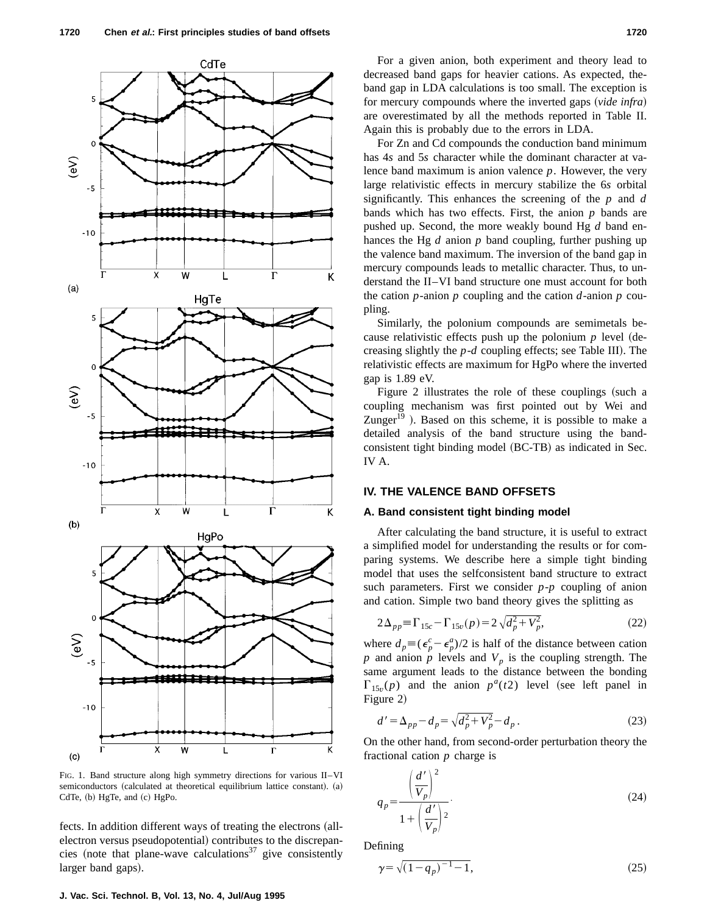

FIG. 1. Band structure along high symmetry directions for various II–VI semiconductors (calculated at theoretical equilibrium lattice constant). (a) CdTe, (b) HgTe, and (c) HgPo.

fects. In addition different ways of treating the electrons (allelectron versus pseudopotential) contributes to the discrepancies (note that plane-wave calculations<sup>37</sup> give consistently larger band gaps).

For a given anion, both experiment and theory lead to decreased band gaps for heavier cations. As expected, theband gap in LDA calculations is too small. The exception is for mercury compounds where the inverted gaps (vide infra) are overestimated by all the methods reported in Table II. Again this is probably due to the errors in LDA.

For Zn and Cd compounds the conduction band minimum has 4*s* and 5*s* character while the dominant character at valence band maximum is anion valence *p*. However, the very large relativistic effects in mercury stabilize the 6*s* orbital significantly. This enhances the screening of the *p* and *d* bands which has two effects. First, the anion *p* bands are pushed up. Second, the more weakly bound Hg *d* band enhances the Hg *d* anion *p* band coupling, further pushing up the valence band maximum. The inversion of the band gap in mercury compounds leads to metallic character. Thus, to understand the II–VI band structure one must account for both the cation *p*-anion *p* coupling and the cation *d*-anion *p* coupling.

Similarly, the polonium compounds are semimetals because relativistic effects push up the polonium  $p$  level (decreasing slightly the  $p-d$  coupling effects; see Table III). The relativistic effects are maximum for HgPo where the inverted gap is 1.89 eV.

Figure  $2$  illustrates the role of these couplings (such a coupling mechanism was first pointed out by Wei and Zunger $19$ ). Based on this scheme, it is possible to make a detailed analysis of the band structure using the bandconsistent tight binding model (BC-TB) as indicated in Sec. IV A.

# **IV. THE VALENCE BAND OFFSETS**

#### **A. Band consistent tight binding model**

After calculating the band structure, it is useful to extract a simplified model for understanding the results or for comparing systems. We describe here a simple tight binding model that uses the selfconsistent band structure to extract such parameters. First we consider *p*-*p* coupling of anion and cation. Simple two band theory gives the splitting as

$$
2\Delta_{pp} = \Gamma_{15c} - \Gamma_{15v}(p) = 2\sqrt{d_p^2 + V_p^2},\tag{22}
$$

where  $d_p \equiv (\epsilon_p^c - \epsilon_p^a)/2$  is half of the distance between cation *p* and anion *p* levels and  $V_p$  is the coupling strength. The same argument leads to the distance between the bonding  $\Gamma_{15v}(p)$  and the anion  $p^a(t2)$  level (see left panel in Figure 2)

$$
d' = \Delta_{pp} - d_p = \sqrt{d_p^2 + V_p^2} - d_p \,. \tag{23}
$$

On the other hand, from second-order perturbation theory the fractional cation *p* charge is

$$
q_p = \frac{\left(\frac{d'}{V_p}\right)^2}{1 + \left(\frac{d'}{V_p}\right)^2}.
$$
\n(24)

Defining

$$
\gamma = \sqrt{(1 - q_p)^{-1} - 1},\tag{25}
$$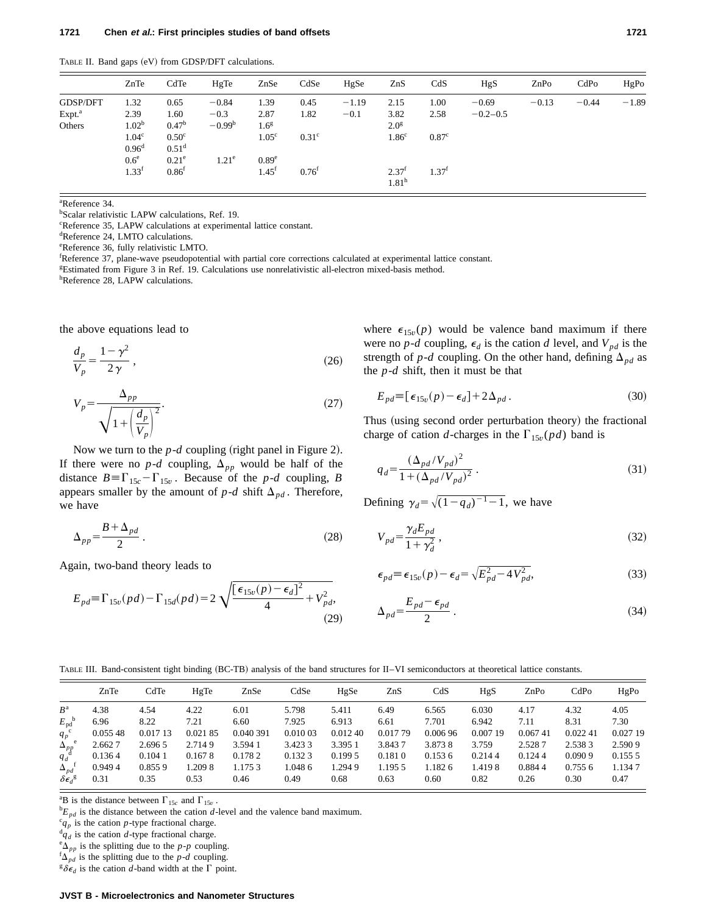TABLE II. Band gaps (eV) from GDSP/DFT calculations.

|                    | ZnTe                                   | CdTe                                | HgTe              | ZnSe                          | CdSe              | HgSe    | ZnS                                    | CdS               | HgS          | ZnPo    | CdPo    | HgPo    |
|--------------------|----------------------------------------|-------------------------------------|-------------------|-------------------------------|-------------------|---------|----------------------------------------|-------------------|--------------|---------|---------|---------|
| GDSP/DFT           | 1.32                                   | 0.65                                | $-0.84$           | 1.39                          | 0.45              | $-1.19$ | 2.15                                   | 1.00              | $-0.69$      | $-0.13$ | $-0.44$ | $-1.89$ |
| Expt. <sup>a</sup> | 2.39                                   | 1.60                                | $-0.3$            | 2.87                          | 1.82              | $-0.1$  | 3.82                                   | 2.58              | $-0.2 - 0.5$ |         |         |         |
| Others             | 1.02 <sup>b</sup>                      | 0.47 <sup>b</sup>                   | $-0.99b$          | 1.6 <sup>g</sup>              |                   |         | 2.0 <sup>g</sup>                       |                   |              |         |         |         |
|                    | 1.04 <sup>c</sup><br>0.96 <sup>d</sup> | 0.50 <sup>c</sup><br>$0.51^d$       |                   | 1.05 <sup>c</sup>             | 0.31 <sup>c</sup> |         | 1.86 <sup>c</sup>                      | 0.87 <sup>c</sup> |              |         |         |         |
|                    | 0.6 <sup>e</sup><br>$1.33^{\rm f}$     | 0.21 <sup>e</sup><br>$0.86^{\rm f}$ | 1.21 <sup>e</sup> | 0.89 <sup>e</sup><br>$1.45^t$ | $0.76^{t}$        |         | 2.37 <sup>t</sup><br>1.81 <sup>h</sup> | 1.37 <sup>f</sup> |              |         |         |         |

a Reference 34.

b Scalar relativistic LAPW calculations, Ref. 19.

c Reference 35, LAPW calculations at experimental lattice constant.

d Reference 24, LMTO calculations.

e Reference 36, fully relativistic LMTO.

f Reference 37, plane-wave pseudopotential with partial core corrections calculated at experimental lattice constant.

g Estimated from Figure 3 in Ref. 19. Calculations use nonrelativistic all-electron mixed-basis method.

<sup>h</sup>Reference 28, LAPW calculations.

the above equations lead to

$$
\frac{d_p}{V_p} = \frac{1 - \gamma^2}{2\,\gamma} \,,\tag{26}
$$

$$
V_p = \frac{\Delta_{pp}}{\sqrt{1 + \left(\frac{d_p}{V_p}\right)^2}}.
$$
\n(27)

Now we turn to the  $p-d$  coupling (right panel in Figure 2). If there were no  $p-d$  coupling,  $\Delta_{pp}$  would be half of the distance  $B = \Gamma_{15c} - \Gamma_{15v}$ . Because of the *p-d* coupling, *B* appears smaller by the amount of  $p-d$  shift  $\Delta_{pd}$ . Therefore, we have

$$
\Delta_{pp} = \frac{B + \Delta_{pd}}{2} \,. \tag{28}
$$

Again, two-band theory leads to

$$
E_{pd} = \Gamma_{15v}(pd) - \Gamma_{15d}(pd) = 2\sqrt{\frac{[\epsilon_{15v}(p) - \epsilon_d]^2}{4} + V_{pd}^2},
$$
\n(29)

where  $\epsilon_{15v}(p)$  would be valence band maximum if there were no *p*-*d* coupling,  $\epsilon_d$  is the cation *d* level, and  $V_{pd}$  is the strength of *p*-*d* coupling. On the other hand, defining  $\Delta_{pd}$  as the *p*-*d* shift, then it must be that

$$
E_{pd} \equiv \left[ \epsilon_{15v}(p) - \epsilon_d \right] + 2\Delta_{pd} \,. \tag{30}
$$

Thus (using second order perturbation theory) the fractional charge of cation *d*-charges in the  $\Gamma_{15v}(pd)$  band is

$$
q_d = \frac{(\Delta_{pd}/V_{pd})^2}{1 + (\Delta_{pd}/V_{pd})^2} \,. \tag{31}
$$

Defining  $\gamma_d = \sqrt{(1-q_d)^{-1}-1}$ , we have

$$
V_{pd} = \frac{\gamma_d E_{pd}}{1 + \gamma_d^2} \,,\tag{32}
$$

$$
\epsilon_{pd} \equiv \epsilon_{15v}(p) - \epsilon_d = \sqrt{E_{pd}^2 - 4V_{pd}^2},\tag{33}
$$

$$
\Delta_{pd} = \frac{E_{pd} - \epsilon_{pd}}{2} \ . \tag{34}
$$

#### TABLE III. Band-consistent tight binding (BC-TB) analysis of the band structures for II–VI semiconductors at theoretical lattice constants.

| HgPo     |
|----------|
| 4.05     |
| 7.30     |
| 0.027 19 |
| 2.590 9  |
| 0.1555   |
| 1.1347   |
| 0.47     |
| 0.022 41 |

<sup>a</sup>B is the distance between  $\Gamma_{15c}$  and  $\Gamma_{15v}$ .

 ${}^bE_{pd}$  is the distance between the cation *d*-level and the valence band maximum.

 ${}^{c}q_{p}$  is the cation *p*-type fractional charge.

 $\frac{d}{d}q_d$  is the cation *d*-type fractional charge.

 ${}^{\text{e}}\Delta_{pp}$  is the splitting due to the *p*-*p* coupling.

 ${}^{f}\Delta_{pd}$  is the splitting due to the *p*-*d* coupling.

 ${}^g\delta\epsilon_d$  is the cation *d*-band width at the  $\Gamma$  point.

# **JVST B - Microelectronics and Nanometer Structures**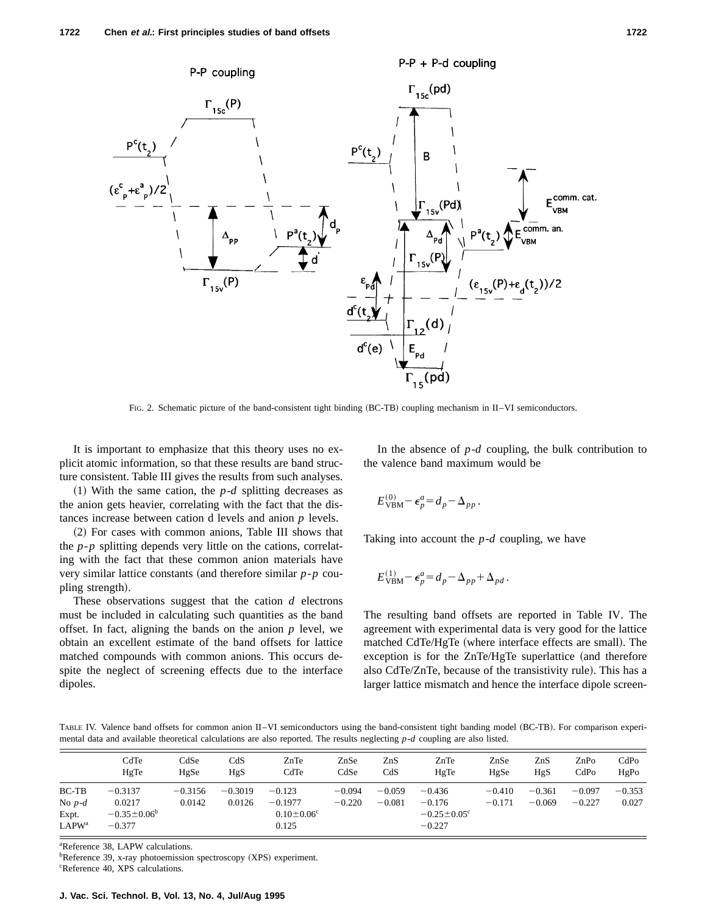

FIG. 2. Schematic picture of the band-consistent tight binding (BC-TB) coupling mechanism in II–VI semiconductors.

It is important to emphasize that this theory uses no explicit atomic information, so that these results are band structure consistent. Table III gives the results from such analyses.

 $(1)$  With the same cation, the *p-d* splitting decreases as the anion gets heavier, correlating with the fact that the distances increase between cation d levels and anion *p* levels.

~2! For cases with common anions, Table III shows that the *p*-*p* splitting depends very little on the cations, correlating with the fact that these common anion materials have very similar lattice constants (and therefore similar *p*-*p* coupling strength).

These observations suggest that the cation *d* electrons must be included in calculating such quantities as the band offset. In fact, aligning the bands on the anion  $p$  level, we obtain an excellent estimate of the band offsets for lattice matched compounds with common anions. This occurs despite the neglect of screening effects due to the interface dipoles.

In the absence of *p*-*d* coupling, the bulk contribution to the valence band maximum would be

$$
E_{\mathrm{VBM}}^{(0)} - \epsilon_p^a = d_p - \Delta_{pp}.
$$

Taking into account the *p*-*d* coupling, we have

$$
E_{\text{VBM}}^{(1)} - \epsilon_p^a = d_p - \Delta_{pp} + \Delta_{pd}.
$$

The resulting band offsets are reported in Table IV. The agreement with experimental data is very good for the lattice matched CdTe/HgTe (where interface effects are small). The exception is for the  $ZnTe/HgTe$  superlattice (and therefore also CdTe/ZnTe, because of the transistivity rule). This has a larger lattice mismatch and hence the interface dipole screen-

TABLE IV. Valence band offsets for common anion II–VI semiconductors using the band-consistent tight banding model (BC-TB). For comparison experimental data and available theoretical calculations are also reported. The results neglecting *p*-*d* coupling are also listed.

|                                  | CdTe                                 | CdSe      | CdS       | ZnTe                       | ZnSe     | ZnS      | ZnTe                                      | ZnSe     | ZnS      | ZnPo     | CdPo     |
|----------------------------------|--------------------------------------|-----------|-----------|----------------------------|----------|----------|-------------------------------------------|----------|----------|----------|----------|
|                                  | HgTe                                 | HgSe      | HgS       | CdTe                       | CdSe     | CdS      | HgTe                                      | HgSe     | HgS      | CdPo     | HgPo     |
| $BC-TB$                          | $-0.3137$                            | $-0.3156$ | $-0.3019$ | $-0.123$                   | $-0.094$ | $-0.059$ | $-0.436$                                  | $-0.410$ | $-0.361$ | $-0.097$ | $-0.353$ |
| No $p-d$                         | 0.0217                               | 0.0142    | 0.0126    | $-0.1977$                  | $-0.220$ | $-0.081$ | $-0.176$                                  | $-0.171$ | $-0.069$ | $-0.227$ | 0.027    |
| Expt.<br><b>LAPW<sup>a</sup></b> | $-0.35 \pm 0.06^{\circ}$<br>$-0.377$ |           |           | $0.10 \pm 0.06^c$<br>0.125 |          |          | $-0.25 \pm 0.05$ <sup>c</sup><br>$-0.227$ |          |          |          |          |

a Reference 38, LAPW calculations.

<sup>b</sup>Reference 39, x-ray photoemission spectroscopy (XPS) experiment. c Reference 40, XPS calculations.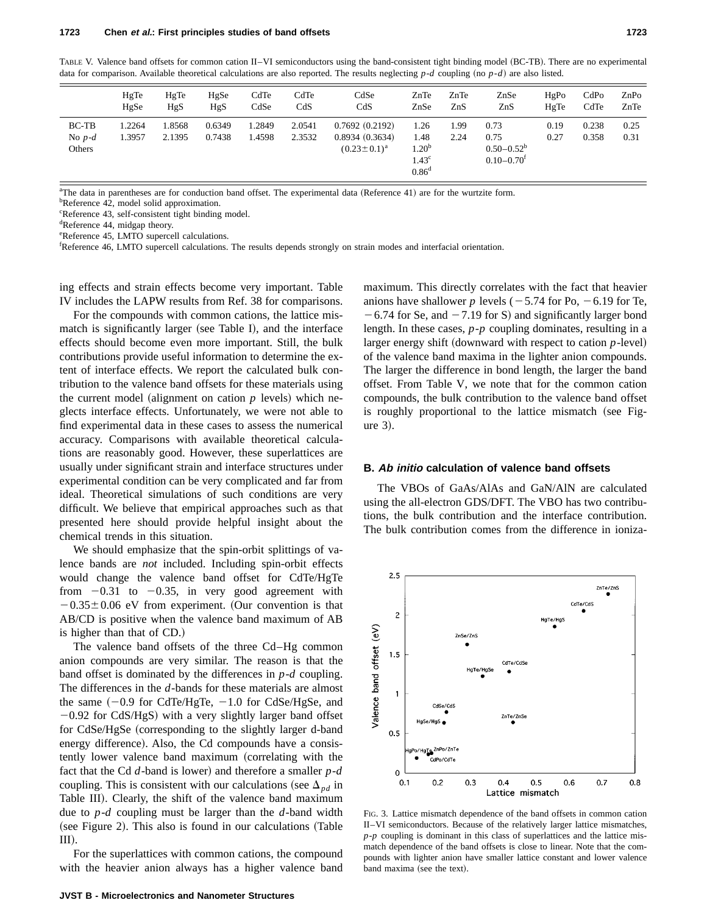|                               | HgTe<br>HgSe     | HgTe<br>HgS      | HgSe<br>HgS      | CdTe<br>CdSe    | CdTe<br>CdS      | CdSe<br>CdS                                            | ZnTe<br>ZnSe                                                         | ZnTe<br>ZnS  | ZnSe<br>ZnS                                                   | HgPo<br>HgTe | CdPo<br>CdTe   | $\mathsf{ZnPo}$<br>ZnTe |
|-------------------------------|------------------|------------------|------------------|-----------------|------------------|--------------------------------------------------------|----------------------------------------------------------------------|--------------|---------------------------------------------------------------|--------------|----------------|-------------------------|
| $BC-TB$<br>No $p-d$<br>Others | 1.2264<br>1.3957 | 1.8568<br>2.1395 | 0.6349<br>0.7438 | .2849<br>1.4598 | 2.0541<br>2.3532 | 0.7692(0.2192)<br>0.8934(0.3634)<br>$(0.23 \pm 0.1)^a$ | 1.26<br>1.48<br>$1.20^{b}$<br>1.43 <sup>c</sup><br>0.86 <sup>d</sup> | 1.99<br>2.24 | 0.73<br>0.75<br>$0.50 - 0.52^b$<br>$0.10 - 0.70$ <sup>f</sup> | 0.19<br>0.27 | 0.238<br>0.358 | 0.25<br>0.31            |

TABLE V. Valence band offsets for common cation II–VI semiconductors using the band-consistent tight binding model (BC-TB). There are no experimental data for comparison. Available theoretical calculations are also reported. The results neglecting  $p$ -*d* coupling (no  $p$ -*d*) are also listed.

<sup>a</sup>The data in parentheses are for conduction band offset. The experimental data (Reference 41) are for the wurtzite form.

<sup>b</sup>Reference 42, model solid approximation.

c Reference 43, self-consistent tight binding model.

<sup>d</sup>Reference 44, midgap theory.

e Reference 45, LMTO supercell calculations.

f Reference 46, LMTO supercell calculations. The results depends strongly on strain modes and interfacial orientation.

ing effects and strain effects become very important. Table IV includes the LAPW results from Ref. 38 for comparisons.

For the compounds with common cations, the lattice mismatch is significantly larger (see Table I), and the interface effects should become even more important. Still, the bulk contributions provide useful information to determine the extent of interface effects. We report the calculated bulk contribution to the valence band offsets for these materials using the current model (alignment on cation  $p$  levels) which neglects interface effects. Unfortunately, we were not able to find experimental data in these cases to assess the numerical accuracy. Comparisons with available theoretical calculations are reasonably good. However, these superlattices are usually under significant strain and interface structures under experimental condition can be very complicated and far from ideal. Theoretical simulations of such conditions are very difficult. We believe that empirical approaches such as that presented here should provide helpful insight about the chemical trends in this situation.

We should emphasize that the spin-orbit splittings of valence bands are *not* included. Including spin-orbit effects would change the valence band offset for CdTe/HgTe from  $-0.31$  to  $-0.35$ , in very good agreement with  $-0.35\pm0.06$  eV from experiment. (Our convention is that AB/CD is positive when the valence band maximum of AB is higher than that of CD.)

The valence band offsets of the three Cd–Hg common anion compounds are very similar. The reason is that the band offset is dominated by the differences in *p*-*d* coupling. The differences in the *d*-bands for these materials are almost the same  $(-0.9$  for CdTe/HgTe,  $-1.0$  for CdSe/HgSe, and  $-0.92$  for CdS/HgS) with a very slightly larger band offset for CdSe/HgSe (corresponding to the slightly larger d-band energy difference). Also, the Cd compounds have a consistently lower valence band maximum (correlating with the fact that the Cd  $d$ -band is lower) and therefore a smaller  $p$ - $d$ coupling. This is consistent with our calculations (see  $\Delta_{pd}$  in Table III). Clearly, the shift of the valence band maximum due to *p*-*d* coupling must be larger than the *d*-band width  $(see Figure 2).$  This also is found in our calculations  $(Table 2)$  $III$ .

For the superlattices with common cations, the compound with the heavier anion always has a higher valence band maximum. This directly correlates with the fact that heavier anions have shallower *p* levels  $(-5.74$  for Po,  $-6.19$  for Te,  $-6.74$  for Se, and  $-7.19$  for S) and significantly larger bond length. In these cases, *p*-*p* coupling dominates, resulting in a larger energy shift (downward with respect to cation  $p$ -level) of the valence band maxima in the lighter anion compounds. The larger the difference in bond length, the larger the band offset. From Table V, we note that for the common cation compounds, the bulk contribution to the valence band offset is roughly proportional to the lattice mismatch (see Fig $ure 3)$ .

#### **B. Ab initio calculation of valence band offsets**

The VBOs of GaAs/AlAs and GaN/AlN are calculated using the all-electron GDS/DFT. The VBO has two contributions, the bulk contribution and the interface contribution. The bulk contribution comes from the difference in ioniza-

 $2.5$  $ZnTe/ZnS$ CdTe/CdS  $\overline{c}$ Valence band offset (eV)  $ZnSe/ZnS$  $1.5$ CdTe/CdS  $\mathbf{1}$ CdSe/CdS ZnTe/ZnS  $0.5$ HgTe <sup>ZnPo/ZnTe</sup> CdPo/CdTe  $\mathbf 0$  $0.1$  $0.2$  $0.3$  $0.4$  $0.5$  $0.6$  $0.7$  $0.8$ Lattice mismatch

FIG. 3. Lattice mismatch dependence of the band offsets in common cation II–VI semiconductors. Because of the relatively larger lattice mismatches, *p*-*p* coupling is dominant in this class of superlattices and the lattice mismatch dependence of the band offsets is close to linear. Note that the compounds with lighter anion have smaller lattice constant and lower valence band maxima (see the text).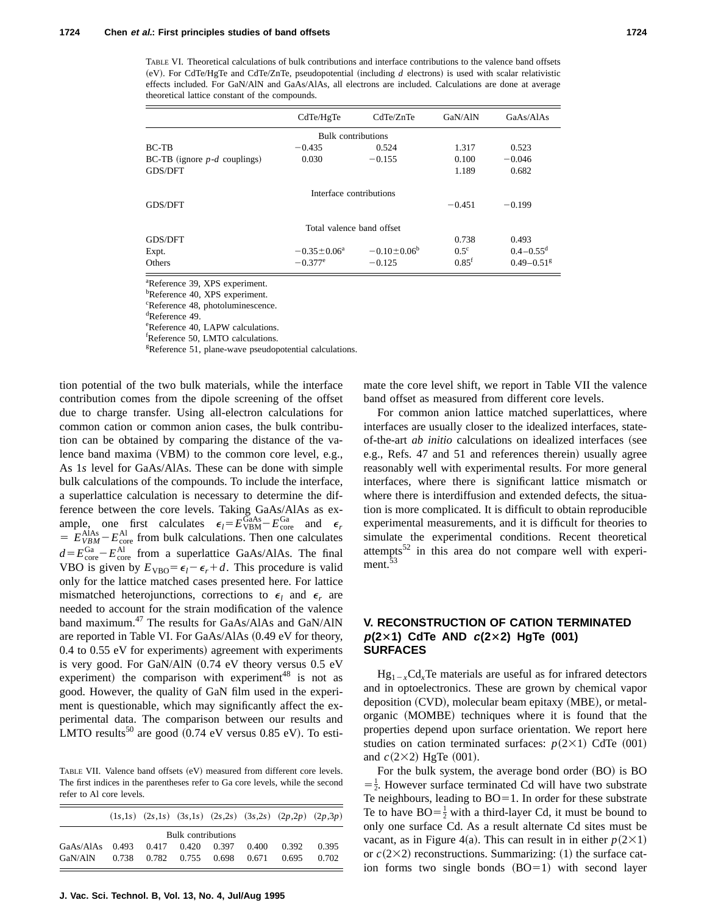TABLE VI. Theoretical calculations of bulk contributions and interface contributions to the valence band offsets  $(eV)$ . For CdTe/HgTe and CdTe/ZnTe, pseudopotential (including  $d$  electrons) is used with scalar relativistic effects included. For GaN/AlN and GaAs/AlAs, all electrons are included. Calculations are done at average theoretical lattice constant of the compounds.

|                                  | CdTe/HgTe                 | CdTe/ZnTe          | GaN/AlN             | GaAs/AlAs                  |
|----------------------------------|---------------------------|--------------------|---------------------|----------------------------|
|                                  | Bulk contributions        |                    |                     |                            |
| BC-TB                            | $-0.435$                  | 0.524              | 1.317               | 0.523                      |
| $BC-TB$ (ignore $p-d$ couplings) | 0.030                     | $-0.155$           | 0.100               | $-0.046$                   |
| <b>GDS/DFT</b>                   |                           |                    | 1.189               | 0.682                      |
|                                  | Interface contributions   |                    |                     |                            |
| <b>GDS/DFT</b>                   |                           |                    | $-0.451$            | $-0.199$                   |
|                                  | Total valence band offset |                    |                     |                            |
| GDS/DFT                          |                           |                    | 0.738               | 0.493                      |
| Expt.                            | $-0.35 \pm 0.06^a$        | $-0.10 \pm 0.06^b$ | $0.5^\circ$         | $0.4 - 0.55$ <sup>d</sup>  |
| Others                           | $-0.377$ <sup>e</sup>     | $-0.125$           | $0.85$ <sup>f</sup> | $0.49 - 0.51$ <sup>g</sup> |

a Reference 39, XPS experiment.

<sup>b</sup>Reference 40, XPS experiment.

c Reference 48, photoluminescence.

d Reference 49.

e Reference 40, LAPW calculations.

f Reference 50, LMTO calculations.

<sup>g</sup>Reference 51, plane-wave pseudopotential calculations.

tion potential of the two bulk materials, while the interface contribution comes from the dipole screening of the offset due to charge transfer. Using all-electron calculations for common cation or common anion cases, the bulk contribution can be obtained by comparing the distance of the valence band maxima  $(VBM)$  to the common core level, e.g., As 1*s* level for GaAs/AlAs. These can be done with simple bulk calculations of the compounds. To include the interface, a superlattice calculation is necessary to determine the difference between the core levels. Taking GaAs/AlAs as example, one first calculates  $\epsilon_l = E_{\text{VBM}}^{\text{GaAs}} - E_{\text{core}}^{\text{Ga}}$  and  $\epsilon_r$  $E_{VBM}^{\text{AlAs}} - E_{\text{core}}^{\text{Al}}$  from bulk calculations. Then one calculates  $d = E_{\text{core}}^{\text{Ga}} - E_{\text{core}}^{\text{Al}}$  from a superlattice GaAs/AlAs. The final VBO is given by  $E_{\text{VBO}} = \epsilon_l - \epsilon_r + d$ . This procedure is valid only for the lattice matched cases presented here. For lattice mismatched heterojunctions, corrections to  $\epsilon_l$  and  $\epsilon_r$  are needed to account for the strain modification of the valence band maximum.<sup>47</sup> The results for GaAs/AlAs and GaN/AlN are reported in Table VI. For  $GaAs/AlAs$   $(0.49 \text{ eV}$  for theory,  $0.4$  to  $0.55$  eV for experiments) agreement with experiments is very good. For GaN/AlN  $(0.74 \text{ eV}$  theory versus  $0.5 \text{ eV}$ experiment) the comparison with experiment<sup>48</sup> is not as good. However, the quality of GaN film used in the experiment is questionable, which may significantly affect the experimental data. The comparison between our results and LMTO results<sup>50</sup> are good  $(0.74 \text{ eV}$  versus 0.85 eV). To esti-

TABLE VII. Valence band offsets (eV) measured from different core levels. The first indices in the parentheses refer to Ga core levels, while the second refer to Al core levels.

|                                   |  |                               |       | $(1s,1s)$ $(2s,1s)$ $(3s,1s)$ $(2s,2s)$ $(3s,2s)$ $(2p,2p)$ $(2p,3p)$ |       |
|-----------------------------------|--|-------------------------------|-------|-----------------------------------------------------------------------|-------|
|                                   |  | Bulk contributions            |       |                                                                       |       |
| GaAs/AlAs 0.493 0.417 0.420 0.397 |  |                               | 0.400 | 0.392                                                                 | 0.395 |
| GaN/AlN                           |  | 0.738 0.782 0.755 0.698 0.671 |       | 0.695                                                                 | 0.702 |

**J. Vac. Sci. Technol. B, Vol. 13, No. 4, Jul/Aug 1995**

mate the core level shift, we report in Table VII the valence band offset as measured from different core levels.

For common anion lattice matched superlattices, where interfaces are usually closer to the idealized interfaces, stateof-the-art *ab initio* calculations on idealized interfaces (see e.g., Refs. 47 and 51 and references therein) usually agree reasonably well with experimental results. For more general interfaces, where there is significant lattice mismatch or where there is interdiffusion and extended defects, the situation is more complicated. It is difficult to obtain reproducible experimental measurements, and it is difficult for theories to simulate the experimental conditions. Recent theoretical attempts $52$  in this area do not compare well with experiment.<sup>53</sup>

# **V. RECONSTRUCTION OF CATION TERMINATED p(2**3**1) CdTe AND <sup>c</sup>(2**3**2) HgTe (001) SURFACES**

 $Hg_{1-x}Cd_xTe$  materials are useful as for infrared detectors and in optoelectronics. These are grown by chemical vapor deposition  $(CVD)$ , molecular beam epitaxy  $(MBE)$ , or metalorganic (MOMBE) techniques where it is found that the properties depend upon surface orientation. We report here studies on cation terminated surfaces:  $p(2\times1)$  CdTe  $(001)$ and  $c(2\times2)$  HgTe  $(001)$ .

For the bulk system, the average bond order  $(BO)$  is  $BO$  $=\frac{1}{2}$ . However surface terminated Cd will have two substrate Te neighbours, leading to  $BO=1$ . In order for these substrate Te to have  $BO = \frac{1}{2}$  with a third-layer Cd, it must be bound to only one surface Cd. As a result alternate Cd sites must be vacant, as in Figure 4(a). This can result in in either  $p(2\times1)$ or  $c(2\times2)$  reconstructions. Summarizing: (1) the surface cation forms two single bonds  $(BO=1)$  with second layer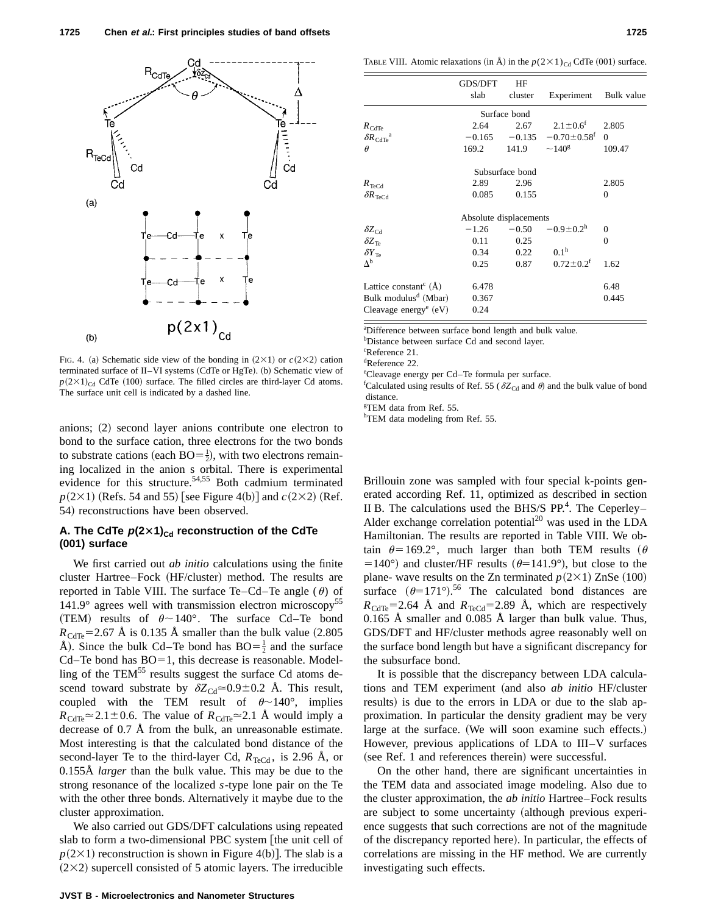

FIG. 4. (a) Schematic side view of the bonding in  $(2\times1)$  or  $c(2\times2)$  cation terminated surface of II–VI systems (CdTe or HgTe).  $(b)$  Schematic view of  $p(2\times1)_{\text{Cd}}$  CdTe (100) surface. The filled circles are third-layer Cd atoms. The surface unit cell is indicated by a dashed line.

anions; (2) second layer anions contribute one electron to bond to the surface cation, three electrons for the two bonds to substrate cations (each  $BO = \frac{1}{2}$ ), with two electrons remaining localized in the anion s orbital. There is experimental evidence for this structure.<sup>54,55</sup> Both cadmium terminated  $p(2\times1)$  (Refs. 54 and 55) [see Figure 4(b)] and  $c(2\times2)$  (Ref. 54) reconstructions have been observed.

# A. The CdTe  $p(2\times1)_{\text{Cd}}$  reconstruction of the CdTe **(001) surface**

We first carried out *ab initio* calculations using the finite cluster Hartree–Fock (HF/cluster) method. The results are reported in Table VIII. The surface Te–Cd–Te angle  $(\theta)$  of 141.9° agrees well with transmission electron microscopy<sup>55</sup> (TEM) results of  $\theta \sim 140^\circ$ . The surface Cd–Te bond  $R_{\text{CdTe}}$ =2.67 Å is 0.135 Å smaller than the bulk value (2.805) Å). Since the bulk Cd–Te bond has  $BO = \frac{1}{2}$  and the surface  $Cd-Te$  bond has  $BO=1$ , this decrease is reasonable. Modelling of the TEM $^{55}$  results suggest the surface Cd atoms descend toward substrate by  $\delta Z_{\text{Cd}} \approx 0.9 \pm 0.2$  Å. This result, coupled with the TEM result of  $\theta \sim 140^{\circ}$ , implies  $R_{\text{CdTe}} \approx 2.1 \pm 0.6$ . The value of  $R_{\text{CdTe}} \approx 2.1$  Å would imply a decrease of 0.7 Å from the bulk, an unreasonable estimate. Most interesting is that the calculated bond distance of the second-layer Te to the third-layer Cd,  $R_{TeCd}$ , is 2.96 Å, or 0.155Å *larger* than the bulk value. This may be due to the strong resonance of the localized *s*-type lone pair on the Te with the other three bonds. Alternatively it maybe due to the cluster approximation.

We also carried out GDS/DFT calculations using repeated slab to form a two-dimensional PBC system [the unit cell of  $p(2\times1)$  reconstruction is shown in Figure 4(b)]. The slab is a  $(2\times2)$  supercell consisted of 5 atomic layers. The irreducible

|                                                     | GDS/DFT<br>slab        | HF<br>cluster   | Experiment                    | Bulk value |
|-----------------------------------------------------|------------------------|-----------------|-------------------------------|------------|
|                                                     |                        | Surface bond    |                               |            |
| $R_{\text{CdTe}}$                                   | 2.64                   | 2.67            | $2.1 \pm 0.6^{\text{f}}$      | 2.805      |
| $\delta R_{\text{CdTe}}^{\text{a}}$                 | $-0.165$               | $-0.135$        | $-0.70 \pm 0.58$ <sup>f</sup> | $\Omega$   |
| $\theta$                                            | 169.2                  | 141.9           | $\sim$ 140 <sup>g</sup>       | 109.47     |
|                                                     |                        | Subsurface bond |                               |            |
| $R_{\text{TeCd}}$                                   | 2.89                   | 2.96            |                               | 2.805      |
| $\delta R_{\rm \,TeCd}$                             | 0.085                  | 0.155           |                               | $\Omega$   |
|                                                     | Absolute displacements |                 |                               |            |
|                                                     | $-1.26$                | $-0.50$         | $-0.9 \pm 0.2$ <sup>h</sup>   | $\Omega$   |
| $\frac{\delta Z_{\text{Cd}}}{\delta Z_{\text{Te}}}$ | 0.11                   | 0.25            |                               | $\Omega$   |
| $\delta Y_{\text{Te}}$                              | 0.34                   | 0.22            | 0.1 <sup>h</sup>              |            |
| $\Delta^{\rm b}$                                    | 0.25                   | 0.87            | $0.72 \pm 0.2$ <sup>f</sup>   | 1.62       |
| Lattice constant <sup>c</sup> $(\AA)$               | 6.478                  |                 |                               | 6.48       |
| Bulk modulus <sup>d</sup> (Mbar)                    | 0.367                  |                 |                               | 0.445      |
| Cleavage energy <sup>e</sup> $(eV)$                 | 0.24                   |                 |                               |            |

a Difference between surface bond length and bulk value.

<sup>b</sup>Distance between surface Cd and second layer.

c Reference 21.

d Reference 22.

e Cleavage energy per Cd–Te formula per surface.

<sup>f</sup>Calculated using results of Ref. 55 ( $\delta Z_{\text{Cd}}$  and  $\theta$ ) and the bulk value of bond distance.

g TEM data from Ref. 55.

hTEM data modeling from Ref. 55.

Brillouin zone was sampled with four special k-points generated according Ref. 11, optimized as described in section II B. The calculations used the BHS/S  $PP<sup>4</sup>$ . The Ceperley– Alder exchange correlation potential<sup>20</sup> was used in the LDA Hamiltonian. The results are reported in Table VIII. We obtain  $\theta$ =169.2°, much larger than both TEM results ( $\theta$ =140°) and cluster/HF results ( $\theta$ =141.9°), but close to the plane- wave results on the Zn terminated  $p(2\times1)$  ZnSe (100) surface  $(\theta=171^{\circ})$ .<sup>56</sup> The calculated bond distances are  $R_{\text{CdTe}}$ =2.64 Å and  $R_{\text{TeCd}}$ =2.89 Å, which are respectively 0.165 Å smaller and 0.085 Å larger than bulk value. Thus, GDS/DFT and HF/cluster methods agree reasonably well on the surface bond length but have a significant discrepancy for the subsurface bond.

It is possible that the discrepancy between LDA calculations and TEM experiment (and also *ab initio* HF/cluster results) is due to the errors in LDA or due to the slab approximation. In particular the density gradient may be very large at the surface. (We will soon examine such effects.) However, previous applications of LDA to III–V surfaces (see Ref. 1 and references therein) were successful.

On the other hand, there are significant uncertainties in the TEM data and associated image modeling. Also due to the cluster approximation, the *ab initio* Hartree–Fock results are subject to some uncertainty (although previous experience suggests that such corrections are not of the magnitude of the discrepancy reported here). In particular, the effects of correlations are missing in the HF method. We are currently investigating such effects.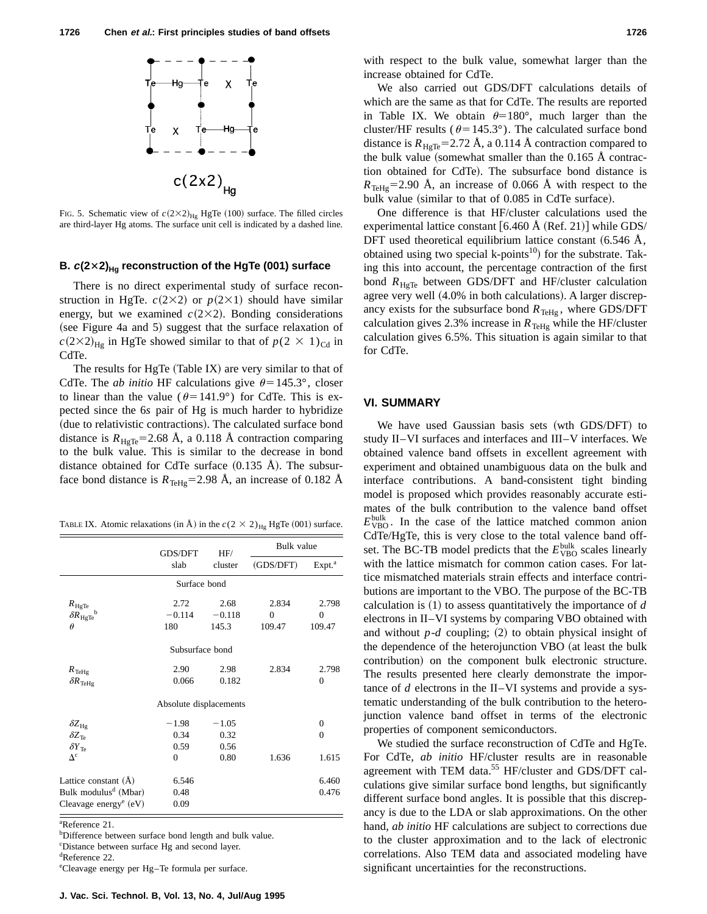

FIG. 5. Schematic view of  $c(2\times2)_{\text{Hg}}$  HgTe (100) surface. The filled circles are third-layer Hg atoms. The surface unit cell is indicated by a dashed line.

# **B.**  $c(2\times2)_{\text{Hg}}$  reconstruction of the HgTe (001) surface

There is no direct experimental study of surface reconstruction in HgTe.  $c(2\times2)$  or  $p(2\times1)$  should have similar energy, but we examined  $c(2\times2)$ . Bonding considerations  $(see Figure 4a and 5) suggest that the surface relaxation of$  $c(2\times2)_{\text{Hg}}$  in HgTe showed similar to that of  $p(2 \times 1)_{\text{Cd}}$  in CdTe.

The results for HgTe  $(Table IX)$  are very similar to that of CdTe. The *ab initio* HF calculations give  $\theta$ =145.3°, closer to linear than the value ( $\theta$ =141.9°) for CdTe. This is expected since the 6*s* pair of Hg is much harder to hybridize (due to relativistic contractions). The calculated surface bond distance is  $R_{\text{HgTe}}$ =2.68 Å, a 0.118 Å contraction comparing to the bulk value. This is similar to the decrease in bond distance obtained for CdTe surface  $(0.135 \text{ Å})$ . The subsurface bond distance is  $R_{\text{TeHg}}=2.98 \text{ Å}$ , an increase of 0.182 Å

TABLE IX. Atomic relaxations (in Å) in the  $c(2 \times 2)_{\text{Hg}}$  HgTe (001) surface.

|                                   | GDS/DFT                | HF/      | Bulk value |                    |  |  |  |  |  |
|-----------------------------------|------------------------|----------|------------|--------------------|--|--|--|--|--|
|                                   | slab                   | cluster  | (GDS/DFT)  | Expt. <sup>a</sup> |  |  |  |  |  |
| Surface bond                      |                        |          |            |                    |  |  |  |  |  |
| $R_{\rm HgTe}$                    | 2.72                   | 2.68     | 2.834      | 2.798              |  |  |  |  |  |
| b<br>$\delta R_{\rm HgTe}$        | $-0.114$               | $-0.118$ | $\Omega$   | $\mathbf{0}$       |  |  |  |  |  |
| $\theta$                          | 180                    | 145.3    | 109.47     | 109.47             |  |  |  |  |  |
|                                   | Subsurface bond        |          |            |                    |  |  |  |  |  |
| $R_{\text{TeHg}}$                 | 2.90                   | 2.98     | 2.834      | 2.798              |  |  |  |  |  |
| $\delta R_{\text{TeHg}}$          | 0.066                  | 0.182    |            | $\overline{0}$     |  |  |  |  |  |
|                                   | Absolute displacements |          |            |                    |  |  |  |  |  |
| $\delta Z_{\rm Hg}$               | $-1.98$                | $-1.05$  |            | $\overline{0}$     |  |  |  |  |  |
| $\delta Z_{\text{Ta}}$            | 0.34                   | 0.32     |            | $\theta$           |  |  |  |  |  |
| $\delta Y_{\text{Te}}$            | 0.59                   | 0.56     |            |                    |  |  |  |  |  |
| $\Lambda^c$                       | $\theta$               | 0.80     | 1.636      | 1.615              |  |  |  |  |  |
| Lattice constant (A)              | 6.546                  |          |            | 6.460              |  |  |  |  |  |
| Bulk modulus <sup>d</sup> (Mbar)  | 0.48                   |          |            | 0.476              |  |  |  |  |  |
| Cleavage energy <sup>e</sup> (eV) | 0.09                   |          |            |                    |  |  |  |  |  |

a Reference 21.

<sup>b</sup>Difference between surface bond length and bulk value. c Distance between surface Hg and second layer. d Reference 22.

e Cleavage energy per Hg–Te formula per surface.

with respect to the bulk value, somewhat larger than the increase obtained for CdTe.

We also carried out GDS/DFT calculations details of which are the same as that for CdTe. The results are reported in Table IX. We obtain  $\theta=180^\circ$ , much larger than the cluster/HF results ( $\theta$ =145.3°). The calculated surface bond distance is  $R_{\text{HeTe}}$ =2.72 Å, a 0.114 Å contraction compared to the bulk value (somewhat smaller than the  $0.165$  Å contraction obtained for CdTe). The subsurface bond distance is  $R_{\text{TeHo}}$ =2.90 Å, an increase of 0.066 Å with respect to the bulk value (similar to that of 0.085 in CdTe surface).

One difference is that HF/cluster calculations used the experimental lattice constant  $[6.460 \text{ Å } (\text{Ref. 21})]$  while GDS/ DFT used theoretical equilibrium lattice constant  $(6.546 \text{ Å})$ , obtained using two special k-points<sup>10</sup>) for the substrate. Taking this into account, the percentage contraction of the first bond  $R_{\text{HgTe}}$  between GDS/DFT and HF/cluster calculation agree very well  $(4.0\%$  in both calculations). A larger discrepancy exists for the subsurface bond  $R_{\text{TeHg}}$ , where GDS/DFT calculation gives 2.3% increase in  $R_{\text{TeHg}}$  while the HF/cluster calculation gives 6.5%. This situation is again similar to that for CdTe.

#### **VI. SUMMARY**

We have used Gaussian basis sets (wth GDS/DFT) to study II–VI surfaces and interfaces and III–V interfaces. We obtained valence band offsets in excellent agreement with experiment and obtained unambiguous data on the bulk and interface contributions. A band-consistent tight binding model is proposed which provides reasonably accurate estimates of the bulk contribution to the valence band offset  $E_{\text{VBO}}^{\text{bulk}}$ . In the case of the lattice matched common anion CdTe/HgTe, this is very close to the total valence band offset. The BC-TB model predicts that the  $E_{\text{VBO}}^{\text{bulk}}$  scales linearly with the lattice mismatch for common cation cases. For lattice mismatched materials strain effects and interface contributions are important to the VBO. The purpose of the BC-TB calculation is  $(1)$  to assess quantitatively the importance of  $d$ electrons in II–VI systems by comparing VBO obtained with and without  $p-d$  coupling; (2) to obtain physical insight of the dependence of the heterojunction VBO (at least the bulk contribution) on the component bulk electronic structure. The results presented here clearly demonstrate the importance of *d* electrons in the II–VI systems and provide a systematic understanding of the bulk contribution to the heterojunction valence band offset in terms of the electronic properties of component semiconductors.

We studied the surface reconstruction of CdTe and HgTe. For CdTe, *ab initio* HF/cluster results are in reasonable agreement with TEM data.<sup>55</sup> HF/cluster and GDS/DFT calculations give similar surface bond lengths, but significantly different surface bond angles. It is possible that this discrepancy is due to the LDA or slab approximations. On the other hand, *ab initio* HF calculations are subject to corrections due to the cluster approximation and to the lack of electronic correlations. Also TEM data and associated modeling have significant uncertainties for the reconstructions.